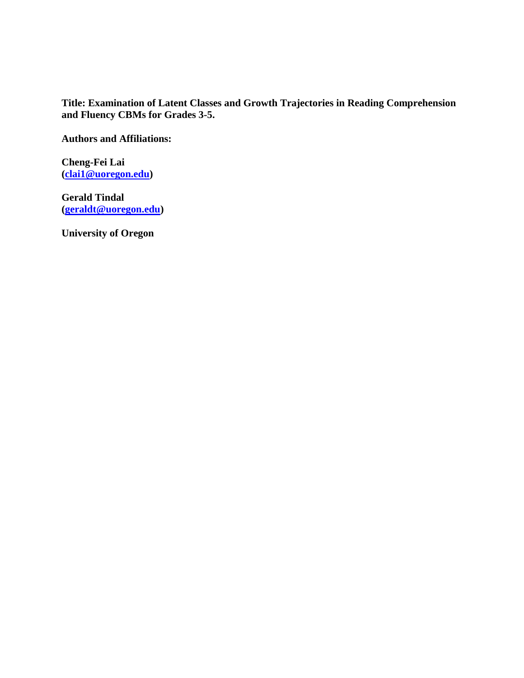**Title: Examination of Latent Classes and Growth Trajectories in Reading Comprehension and Fluency CBMs for Grades 3-5.**

**Authors and Affiliations:**

**Cheng-Fei Lai [\(clai1@uoregon.edu\)](mailto:clai1@uoregon.edu)**

**Gerald Tindal [\(geraldt@uoregon.edu\)](mailto:geraldt@uoregon.edu)**

**University of Oregon**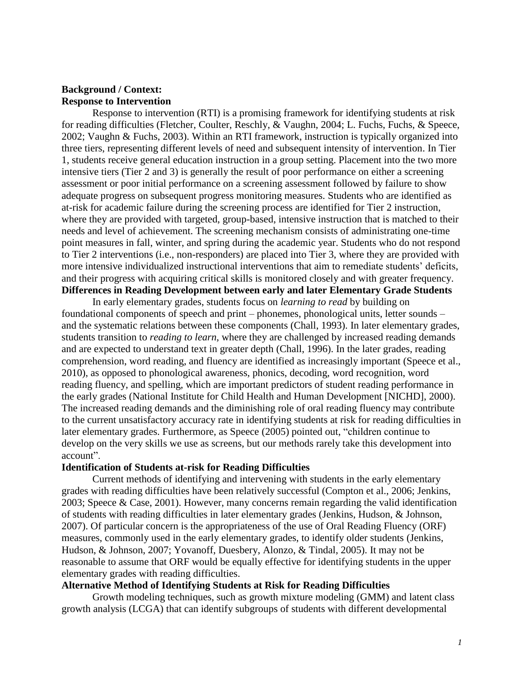## **Background / Context: Response to Intervention**

Response to intervention (RTI) is a promising framework for identifying students at risk for reading difficulties (Fletcher, Coulter, Reschly, & Vaughn, 2004; L. Fuchs, Fuchs, & Speece, 2002; Vaughn & Fuchs, 2003). Within an RTI framework, instruction is typically organized into three tiers, representing different levels of need and subsequent intensity of intervention. In Tier 1, students receive general education instruction in a group setting. Placement into the two more intensive tiers (Tier 2 and 3) is generally the result of poor performance on either a screening assessment or poor initial performance on a screening assessment followed by failure to show adequate progress on subsequent progress monitoring measures. Students who are identified as at-risk for academic failure during the screening process are identified for Tier 2 instruction, where they are provided with targeted, group-based, intensive instruction that is matched to their needs and level of achievement. The screening mechanism consists of administrating one-time point measures in fall, winter, and spring during the academic year. Students who do not respond to Tier 2 interventions (i.e., non-responders) are placed into Tier 3, where they are provided with more intensive individualized instructional interventions that aim to remediate students' deficits, and their progress with acquiring critical skills is monitored closely and with greater frequency. **Differences in Reading Development between early and later Elementary Grade Students**

In early elementary grades, students focus on *learning to read* by building on foundational components of speech and print – phonemes, phonological units, letter sounds – and the systematic relations between these components (Chall, 1993). In later elementary grades, students transition to *reading to learn*, where they are challenged by increased reading demands and are expected to understand text in greater depth (Chall, 1996). In the later grades, reading comprehension, word reading, and fluency are identified as increasingly important (Speece et al., 2010), as opposed to phonological awareness, phonics, decoding, word recognition, word reading fluency, and spelling, which are important predictors of student reading performance in the early grades (National Institute for Child Health and Human Development [NICHD], 2000). The increased reading demands and the diminishing role of oral reading fluency may contribute to the current unsatisfactory accuracy rate in identifying students at risk for reading difficulties in later elementary grades. Furthermore, as Speece (2005) pointed out, "children continue to develop on the very skills we use as screens, but our methods rarely take this development into account".

#### **Identification of Students at-risk for Reading Difficulties**

Current methods of identifying and intervening with students in the early elementary grades with reading difficulties have been relatively successful (Compton et al., 2006; Jenkins, 2003; Speece & Case, 2001). However, many concerns remain regarding the valid identification of students with reading difficulties in later elementary grades (Jenkins, Hudson, & Johnson, 2007). Of particular concern is the appropriateness of the use of Oral Reading Fluency (ORF) measures, commonly used in the early elementary grades, to identify older students (Jenkins, Hudson, & Johnson, 2007; Yovanoff, Duesbery, Alonzo, & Tindal, 2005). It may not be reasonable to assume that ORF would be equally effective for identifying students in the upper elementary grades with reading difficulties.

## **Alternative Method of Identifying Students at Risk for Reading Difficulties**

Growth modeling techniques, such as growth mixture modeling (GMM) and latent class growth analysis (LCGA) that can identify subgroups of students with different developmental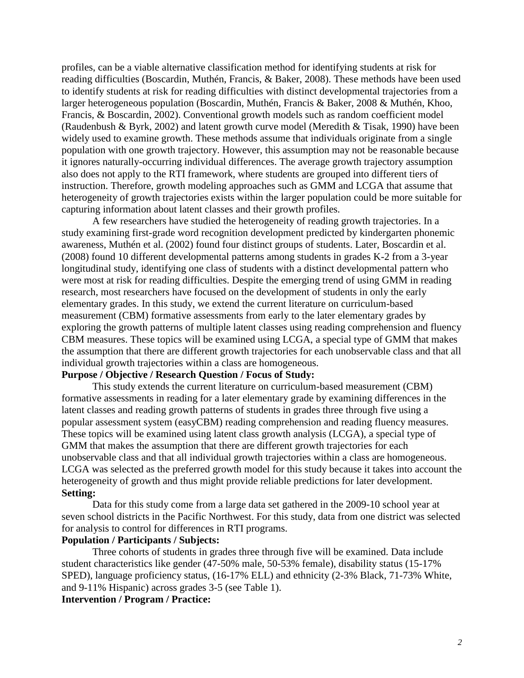profiles, can be a viable alternative classification method for identifying students at risk for reading difficulties (Boscardin, Muthén, Francis, & Baker, 2008). These methods have been used to identify students at risk for reading difficulties with distinct developmental trajectories from a larger heterogeneous population (Boscardin, Muthén, Francis & Baker, 2008 & Muthén, Khoo, Francis, & Boscardin, 2002). Conventional growth models such as random coefficient model (Raudenbush & Byrk, 2002) and latent growth curve model (Meredith & Tisak, 1990) have been widely used to examine growth. These methods assume that individuals originate from a single population with one growth trajectory. However, this assumption may not be reasonable because it ignores naturally-occurring individual differences. The average growth trajectory assumption also does not apply to the RTI framework, where students are grouped into different tiers of instruction. Therefore, growth modeling approaches such as GMM and LCGA that assume that heterogeneity of growth trajectories exists within the larger population could be more suitable for capturing information about latent classes and their growth profiles.

A few researchers have studied the heterogeneity of reading growth trajectories. In a study examining first-grade word recognition development predicted by kindergarten phonemic awareness, Muthén et al. (2002) found four distinct groups of students. Later, Boscardin et al. (2008) found 10 different developmental patterns among students in grades K-2 from a 3-year longitudinal study, identifying one class of students with a distinct developmental pattern who were most at risk for reading difficulties. Despite the emerging trend of using GMM in reading research, most researchers have focused on the development of students in only the early elementary grades. In this study, we extend the current literature on curriculum-based measurement (CBM) formative assessments from early to the later elementary grades by exploring the growth patterns of multiple latent classes using reading comprehension and fluency CBM measures. These topics will be examined using LCGA, a special type of GMM that makes the assumption that there are different growth trajectories for each unobservable class and that all individual growth trajectories within a class are homogeneous.

#### **Purpose / Objective / Research Question / Focus of Study:**

This study extends the current literature on curriculum-based measurement (CBM) formative assessments in reading for a later elementary grade by examining differences in the latent classes and reading growth patterns of students in grades three through five using a popular assessment system (easyCBM) reading comprehension and reading fluency measures. These topics will be examined using latent class growth analysis (LCGA), a special type of GMM that makes the assumption that there are different growth trajectories for each unobservable class and that all individual growth trajectories within a class are homogeneous. LCGA was selected as the preferred growth model for this study because it takes into account the heterogeneity of growth and thus might provide reliable predictions for later development. **Setting:**

Data for this study come from a large data set gathered in the 2009-10 school year at seven school districts in the Pacific Northwest. For this study, data from one district was selected for analysis to control for differences in RTI programs.

### **Population / Participants / Subjects:**

Three cohorts of students in grades three through five will be examined. Data include student characteristics like gender (47-50% male, 50-53% female), disability status (15-17% SPED), language proficiency status, (16-17% ELL) and ethnicity (2-3% Black, 71-73% White, and 9-11% Hispanic) across grades 3-5 (see Table 1).

#### **Intervention / Program / Practice:**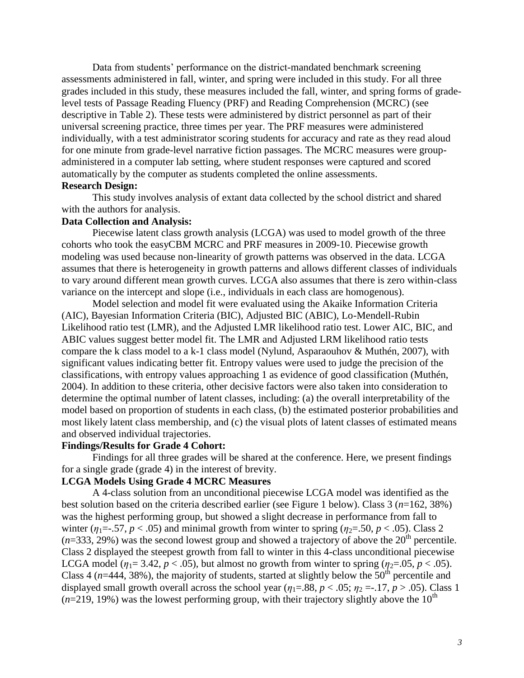Data from students' performance on the district-mandated benchmark screening assessments administered in fall, winter, and spring were included in this study. For all three grades included in this study, these measures included the fall, winter, and spring forms of gradelevel tests of Passage Reading Fluency (PRF) and Reading Comprehension (MCRC) (see descriptive in Table 2). These tests were administered by district personnel as part of their universal screening practice, three times per year. The PRF measures were administered individually, with a test administrator scoring students for accuracy and rate as they read aloud for one minute from grade-level narrative fiction passages. The MCRC measures were groupadministered in a computer lab setting, where student responses were captured and scored automatically by the computer as students completed the online assessments. **Research Design:**

This study involves analysis of extant data collected by the school district and shared with the authors for analysis.

#### **Data Collection and Analysis:**

Piecewise latent class growth analysis (LCGA) was used to model growth of the three cohorts who took the easyCBM MCRC and PRF measures in 2009-10. Piecewise growth modeling was used because non-linearity of growth patterns was observed in the data. LCGA assumes that there is heterogeneity in growth patterns and allows different classes of individuals to vary around different mean growth curves. LCGA also assumes that there is zero within-class variance on the intercept and slope (i.e., individuals in each class are homogenous).

Model selection and model fit were evaluated using the Akaike Information Criteria (AIC), Bayesian Information Criteria (BIC), Adjusted BIC (ABIC), Lo-Mendell-Rubin Likelihood ratio test (LMR), and the Adjusted LMR likelihood ratio test. Lower AIC, BIC, and ABIC values suggest better model fit. The LMR and Adjusted LRM likelihood ratio tests compare the k class model to a k-1 class model (Nylund, Asparaouhov & Muthén, 2007), with significant values indicating better fit. Entropy values were used to judge the precision of the classifications, with entropy values approaching 1 as evidence of good classification (Muthén, 2004). In addition to these criteria, other decisive factors were also taken into consideration to determine the optimal number of latent classes, including: (a) the overall interpretability of the model based on proportion of students in each class, (b) the estimated posterior probabilities and most likely latent class membership, and (c) the visual plots of latent classes of estimated means and observed individual trajectories.

#### **Findings/Results for Grade 4 Cohort:**

Findings for all three grades will be shared at the conference. Here, we present findings for a single grade (grade 4) in the interest of brevity.

## **LCGA Models Using Grade 4 MCRC Measures**

A 4-class solution from an unconditional piecewise LCGA model was identified as the best solution based on the criteria described earlier (see Figure 1 below). Class 3 (*n*=162, 38%) was the highest performing group, but showed a slight decrease in performance from fall to winter ( $\eta_1 = -0.57$ ,  $p < 0.05$ ) and minimal growth from winter to spring ( $\eta_2 = 0.50$ ,  $p < 0.05$ ). Class 2  $(n=333, 29%)$  was the second lowest group and showed a trajectory of above the  $20<sup>th</sup>$  percentile. Class 2 displayed the steepest growth from fall to winter in this 4-class unconditional piecewise LCGA model ( $\eta_1 = 3.42$ ,  $p < .05$ ), but almost no growth from winter to spring ( $\eta_2 = .05$ ,  $p < .05$ ). Class 4 ( $n=444$ , 38%), the majority of students, started at slightly below the 50<sup>th</sup> percentile and displayed small growth overall across the school year ( $\eta_1 = .88$ ,  $p < .05$ ;  $\eta_2 = .17$ ,  $p > .05$ ). Class 1  $(n=219, 19%)$  was the lowest performing group, with their trajectory slightly above the 10<sup>th</sup>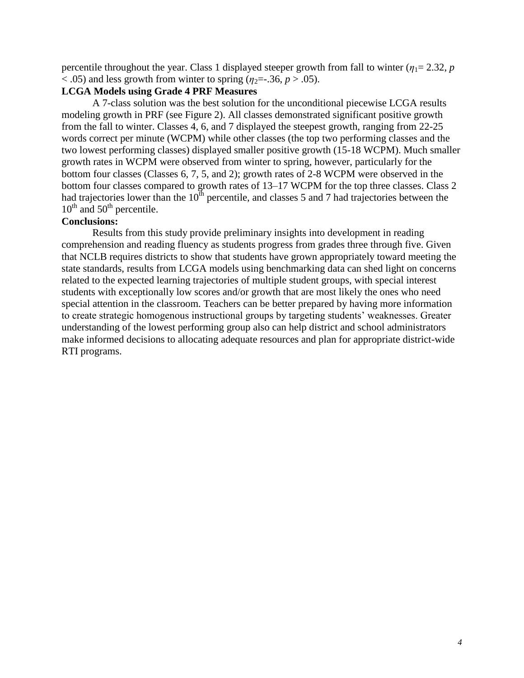percentile throughout the year. Class 1 displayed steeper growth from fall to winter ( $\eta_1$ = 2.32, *p*)  $<$  0.05) and less growth from winter to spring ( $\eta_2$ =-.36,  $p > 0.05$ ).

### **LCGA Models using Grade 4 PRF Measures**

A 7-class solution was the best solution for the unconditional piecewise LCGA results modeling growth in PRF (see Figure 2). All classes demonstrated significant positive growth from the fall to winter. Classes 4, 6, and 7 displayed the steepest growth, ranging from 22-25 words correct per minute (WCPM) while other classes (the top two performing classes and the two lowest performing classes) displayed smaller positive growth (15-18 WCPM). Much smaller growth rates in WCPM were observed from winter to spring, however, particularly for the bottom four classes (Classes 6, 7, 5, and 2); growth rates of 2-8 WCPM were observed in the bottom four classes compared to growth rates of 13–17 WCPM for the top three classes. Class 2 had trajectories lower than the  $10^{th}$  percentile, and classes 5 and 7 had trajectories between the  $10^{th}$  and  $50^{th}$  percentile.

#### **Conclusions:**

Results from this study provide preliminary insights into development in reading comprehension and reading fluency as students progress from grades three through five. Given that NCLB requires districts to show that students have grown appropriately toward meeting the state standards, results from LCGA models using benchmarking data can shed light on concerns related to the expected learning trajectories of multiple student groups, with special interest students with exceptionally low scores and/or growth that are most likely the ones who need special attention in the classroom. Teachers can be better prepared by having more information to create strategic homogenous instructional groups by targeting students' weaknesses. Greater understanding of the lowest performing group also can help district and school administrators make informed decisions to allocating adequate resources and plan for appropriate district-wide RTI programs.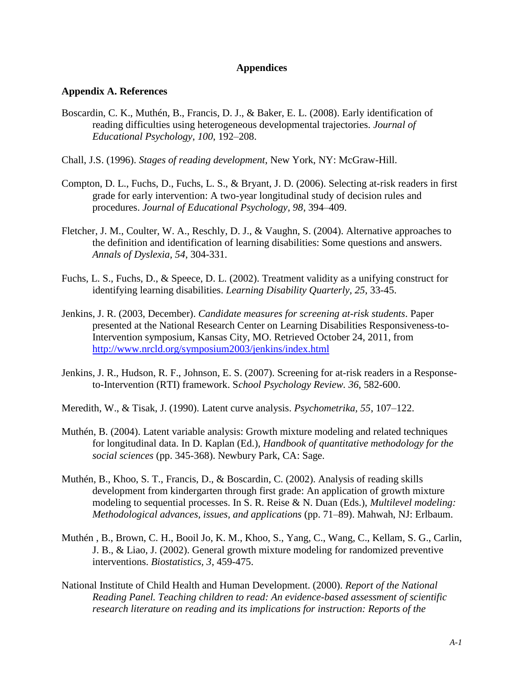## **Appendices**

#### **Appendix A. References**

- Boscardin, C. K., Muthén, B., Francis, D. J., & Baker, E. L. (2008). Early identification of reading difficulties using heterogeneous developmental trajectories. *Journal of Educational Psychology*, *100*, 192–208.
- Chall, J.S. (1996). *Stages of reading development*, New York, NY: McGraw-Hill.
- Compton, D. L., Fuchs, D., Fuchs, L. S., & Bryant, J. D. (2006). Selecting at-risk readers in first grade for early intervention: A two-year longitudinal study of decision rules and procedures. *Journal of Educational Psychology, 98*, 394–409.
- Fletcher, J. M., Coulter, W. A., Reschly, D. J., & Vaughn, S. (2004). Alternative approaches to the definition and identification of learning disabilities: Some questions and answers. *Annals of Dyslexia, 54*, 304-331.
- Fuchs, L. S., Fuchs, D., & Speece, D. L. (2002). Treatment validity as a unifying construct for identifying learning disabilities. *Learning Disability Quarterly, 25*, 33-45.
- Jenkins, J. R. (2003, December). *Candidate measures for screening at-risk students*. Paper presented at the National Research Center on Learning Disabilities Responsiveness-to-Intervention symposium, Kansas City, MO. Retrieved October 24, 2011, from <http://www.nrcld.org/symposium2003/jenkins/index.html>
- Jenkins, J. R., Hudson, R. F., Johnson, E. S. (2007). Screening for at-risk readers in a Responseto-Intervention (RTI) framework. S*chool Psychology Review. 36*, 582-600.
- Meredith, W., & Tisak, J. (1990). Latent curve analysis. *Psychometrika, 55*, 107–122.
- Muthén, B. (2004). Latent variable analysis: Growth mixture modeling and related techniques for longitudinal data. In D. Kaplan (Ed.), *Handbook of quantitative methodology for the social sciences* (pp. 345-368). Newbury Park, CA: Sage.
- Muthén, B., Khoo, S. T., Francis, D., & Boscardin, C. (2002). Analysis of reading skills development from kindergarten through first grade: An application of growth mixture modeling to sequential processes. In S. R. Reise & N. Duan (Eds.), *Multilevel modeling: Methodological advances, issues, and applications* (pp. 71–89). Mahwah, NJ: Erlbaum.
- Muthén , B., Brown, C. H., Booil Jo, K. M., Khoo, S., Yang, C., Wang, C., Kellam, S. G., Carlin, J. B., & Liao, J. (2002). General growth mixture modeling for randomized preventive interventions. *Biostatistics, 3*, 459-475.
- National Institute of Child Health and Human Development. (2000). *Report of the National Reading Panel. Teaching children to read: An evidence-based assessment of scientific research literature on reading and its implications for instruction: Reports of the*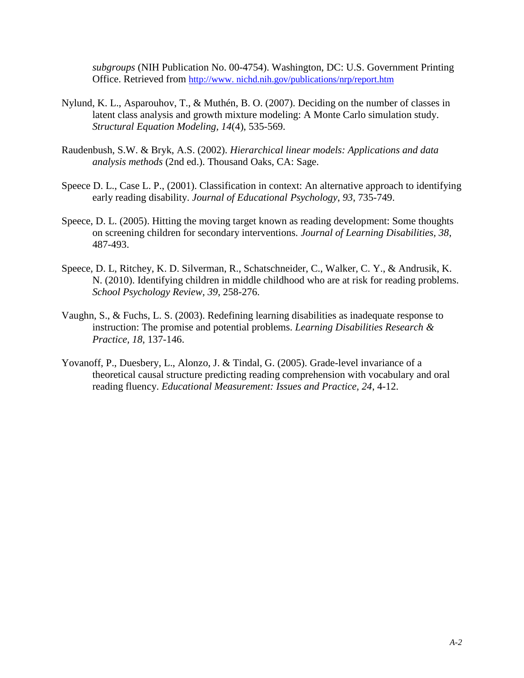*subgroups* (NIH Publication No. 00-4754). Washington, DC: U.S. Government Printing Office. Retrieved from [http://www. nichd.nih.gov/publications/nrp/report.htm](http://www.nichd.nih.gov/publications/nrp/report.htm)

- Nylund, K. L., Asparouhov, T., & Muthén, B. O. (2007). Deciding on the number of classes in latent class analysis and growth mixture modeling: A Monte Carlo simulation study. *Structural Equation Modeling, 14*(4), 535-569.
- Raudenbush, S.W. & Bryk, A.S. (2002). *Hierarchical linear models: Applications and data analysis methods* (2nd ed.). Thousand Oaks, CA: Sage.
- Speece D. L., Case L. P., (2001). Classification in context: An alternative approach to identifying early reading disability. *Journal of Educational Psychology*, *93*, 735-749.
- Speece, D. L. (2005). Hitting the moving target known as reading development: Some thoughts on screening children for secondary interventions. *Journal of Learning Disabilities, 38*, 487-493.
- Speece, D. L, Ritchey, K. D. Silverman, R., Schatschneider, C., Walker, C. Y., & Andrusik, K. N. (2010). Identifying children in middle childhood who are at risk for reading problems. *School Psychology Review, 39*, 258-276.
- Vaughn, S., & Fuchs, L. S. (2003). Redefining learning disabilities as inadequate response to instruction: The promise and potential problems. *Learning Disabilities Research & Practice, 18*, 137-146.
- Yovanoff, P., Duesbery, L., Alonzo, J. & Tindal, G. (2005). Grade-level invariance of a theoretical causal structure predicting reading comprehension with vocabulary and oral reading fluency. *Educational Measurement: Issues and Practice, 24*, 4-12.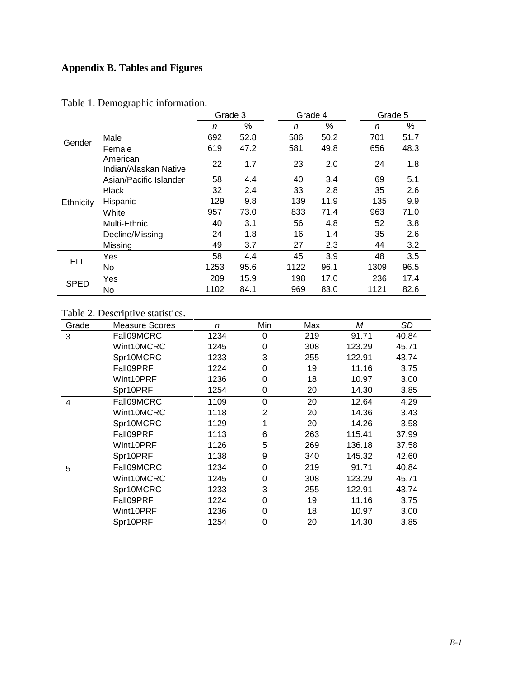# **Appendix B. Tables and Figures**

|             |                                   | Grade 3 |      |      | Grade 4 |      | Grade 5 |  |
|-------------|-----------------------------------|---------|------|------|---------|------|---------|--|
|             |                                   | n       | %    | n    | %       | n    | %       |  |
| Gender      | Male                              | 692     | 52.8 | 586  | 50.2    | 701  | 51.7    |  |
|             | Female                            | 619     | 47.2 | 581  | 49.8    | 656  | 48.3    |  |
| Ethnicity   | American<br>Indian/Alaskan Native | 22      | 1.7  | 23   | 2.0     | 24   | 1.8     |  |
|             | Asian/Pacific Islander            | 58      | 4.4  | 40   | 3.4     | 69   | 5.1     |  |
|             | <b>Black</b>                      | 32      | 2.4  | 33   | 2.8     | 35   | 2.6     |  |
|             | Hispanic                          | 129     | 9.8  | 139  | 11.9    | 135  | 9.9     |  |
|             | White                             | 957     | 73.0 | 833  | 71.4    | 963  | 71.0    |  |
|             | Multi-Ethnic                      | 40      | 3.1  | 56   | 4.8     | 52   | 3.8     |  |
|             | Decline/Missing                   | 24      | 1.8  | 16   | 1.4     | 35   | 2.6     |  |
|             | Missing                           | 49      | 3.7  | 27   | 2.3     | 44   | 3.2     |  |
| ELL         | Yes                               | 58      | 4.4  | 45   | 3.9     | 48   | 3.5     |  |
|             | No.                               | 1253    | 95.6 | 1122 | 96.1    | 1309 | 96.5    |  |
| <b>SPED</b> | Yes                               | 209     | 15.9 | 198  | 17.0    | 236  | 17.4    |  |
|             | No                                | 1102    | 84.1 | 969  | 83.0    | 1121 | 82.6    |  |

## Table 1. Demographic information.

# Table 2. Descriptive statistics.

| Grade | <b>Measure Scores</b> | n    | Min      | Max | Μ      | SD    |
|-------|-----------------------|------|----------|-----|--------|-------|
| 3     | Fall09MCRC            | 1234 | 0        | 219 | 91.71  | 40.84 |
|       | Wint10MCRC            | 1245 | 0        | 308 | 123.29 | 45.71 |
|       | Spr10MCRC             | 1233 | 3        | 255 | 122.91 | 43.74 |
|       | Fall09PRF             | 1224 | 0        | 19  | 11.16  | 3.75  |
|       | Wint10PRF             | 1236 | 0        | 18  | 10.97  | 3.00  |
|       | Spr10PRF              | 1254 | 0        | 20  | 14.30  | 3.85  |
| 4     | Fall09MCRC            | 1109 | 0        | 20  | 12.64  | 4.29  |
|       | Wint10MCRC            | 1118 | 2        | 20  | 14.36  | 3.43  |
|       | Spr10MCRC             | 1129 | 1        | 20  | 14.26  | 3.58  |
|       | Fall09PRF             | 1113 | 6        | 263 | 115.41 | 37.99 |
|       | Wint10PRF             | 1126 | 5        | 269 | 136.18 | 37.58 |
|       | Spr10PRF              | 1138 | 9        | 340 | 145.32 | 42.60 |
| 5     | Fall09MCRC            | 1234 | $\Omega$ | 219 | 91.71  | 40.84 |
|       | Wint10MCRC            | 1245 | $\Omega$ | 308 | 123.29 | 45.71 |
|       | Spr10MCRC             | 1233 | 3        | 255 | 122.91 | 43.74 |
|       | Fall09PRF             | 1224 | 0        | 19  | 11.16  | 3.75  |
|       | Wint10PRF             | 1236 | $\Omega$ | 18  | 10.97  | 3.00  |
|       | Spr10PRF              | 1254 | 0        | 20  | 14.30  | 3.85  |